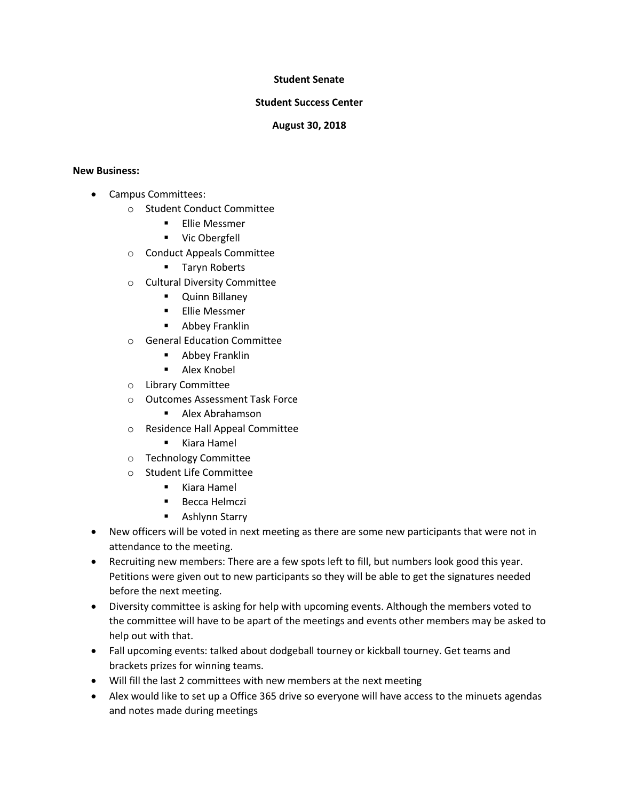## **Student Senate**

## **Student Success Center**

## **August 30, 2018**

## **New Business:**

- Campus Committees:
	- o Student Conduct Committee
		- **Ellie Messmer**
		- **•** Vic Obergfell
	- o Conduct Appeals Committee
		- **Taryn Roberts**
	- o Cultural Diversity Committee
		- **•** Quinn Billaney
		- **Ellie Messmer**
		- **-** Abbey Franklin
	- o General Education Committee
		- **-** Abbey Franklin
		- **Alex Knobel**
	- o Library Committee
	- o Outcomes Assessment Task Force
		- Alex Abrahamson
	- o Residence Hall Appeal Committee
		- Kiara Hamel
	- o Technology Committee
	- o Student Life Committee
		- Kiara Hamel
		- **Becca Helmczi**
		- **B** Ashlynn Starry
- New officers will be voted in next meeting as there are some new participants that were not in attendance to the meeting.
- Recruiting new members: There are a few spots left to fill, but numbers look good this year. Petitions were given out to new participants so they will be able to get the signatures needed before the next meeting.
- Diversity committee is asking for help with upcoming events. Although the members voted to the committee will have to be apart of the meetings and events other members may be asked to help out with that.
- Fall upcoming events: talked about dodgeball tourney or kickball tourney. Get teams and brackets prizes for winning teams.
- Will fill the last 2 committees with new members at the next meeting
- Alex would like to set up a Office 365 drive so everyone will have access to the minuets agendas and notes made during meetings